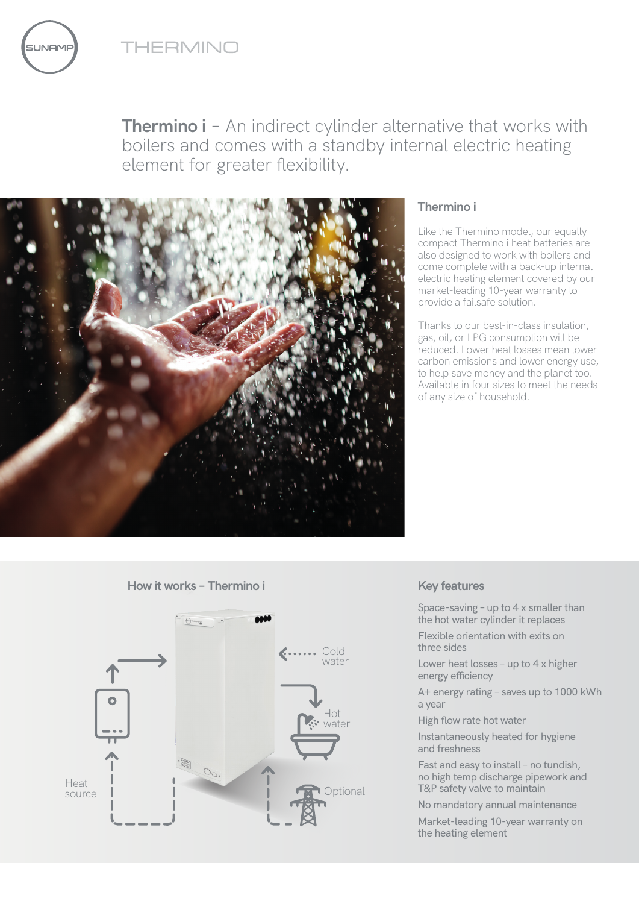THERMINO



**Thermino i** - An indirect cylinder alternative that works with boilers and comes with a standby internal electric heating element for greater flexibility.



## **Thermino i**

Like the Thermino model, our equally compact Thermino i heat batteries are also designed to work with boilers and come complete with a back-up internal electric heating element covered by our market-leading 10-year warranty to provide a failsafe solution.

Thanks to our best-in-class insulation, gas, oil, or LPG consumption will be reduced. Lower heat losses mean lower carbon emissions and lower energy use, to help save money and the planet too. Available in four sizes to meet the needs of any size of household.

**How it works – Thermino i**



# **Key features**

Space-saving – up to 4 x smaller than the hot water cylinder it replaces

Flexible orientation with exits on three sides

Lower heat losses – up to 4 x higher energy efficiency

A+ energy rating – saves up to 1000 kWh a year

High flow rate hot water

Instantaneously heated for hygiene and freshness

Fast and easy to install – no tundish, no high temp discharge pipework and T&P safety valve to maintain

No mandatory annual maintenance

Market-leading 10-year warranty on the heating element